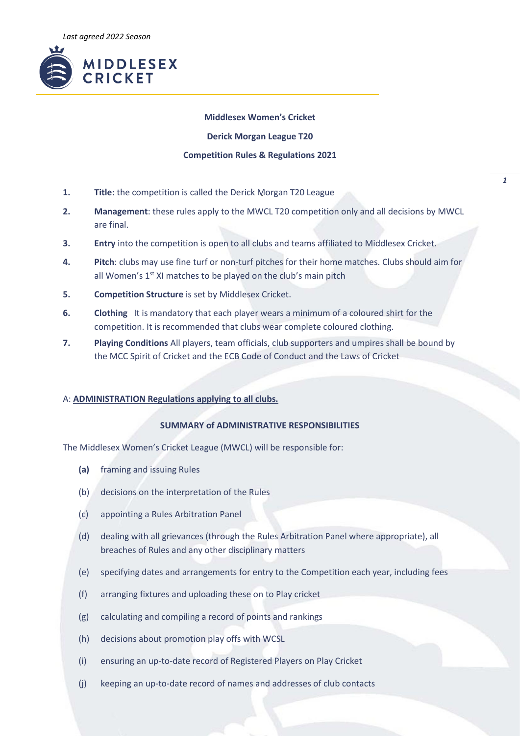

### **Middlesex Women's Cricket**

**Derick Morgan League T20**

#### **Competition Rules & Regulations 2021**

- **1. Title:** the competition is called the Derick Morgan T20 League
- **2. Management**: these rules apply to the MWCL T20 competition only and all decisions by MWCL are final.
- **3. Entry** into the competition is open to all clubs and teams affiliated to Middlesex Cricket.
- **4. Pitch**: clubs may use fine turf or non-turf pitches for their home matches. Clubs should aim for all Women's 1<sup>st</sup> XI matches to be played on the club's main pitch
- **5. Competition Structure** is set by Middlesex Cricket.
- **6. Clothing** It is mandatory that each player wears a minimum of a coloured shirt for the competition. It is recommended that clubs wear complete coloured clothing.
- **7. Playing Conditions** All players, team officials, club supporters and umpires shall be bound by the MCC Spirit of Cricket and the ECB Code of Conduct and the Laws of Cricket

## A: **ADMINISTRATION Regulations applying to all clubs.**

# **SUMMARY of ADMINISTRATIVE RESPONSIBILITIES**

The Middlesex Women's Cricket League (MWCL) will be responsible for:

- **(a)** framing and issuing Rules
- (b) decisions on the interpretation of the Rules
- (c) appointing a Rules Arbitration Panel
- (d) dealing with all grievances (through the Rules Arbitration Panel where appropriate), all breaches of Rules and any other disciplinary matters
- (e) specifying dates and arrangements for entry to the Competition each year, including fees
- (f) arranging fixtures and uploading these on to Play cricket
- (g) calculating and compiling a record of points and rankings
- (h) decisions about promotion play offs with WCSL
- (i) ensuring an up-to-date record of Registered Players on Play Cricket
- (j) keeping an up-to-date record of names and addresses of club contacts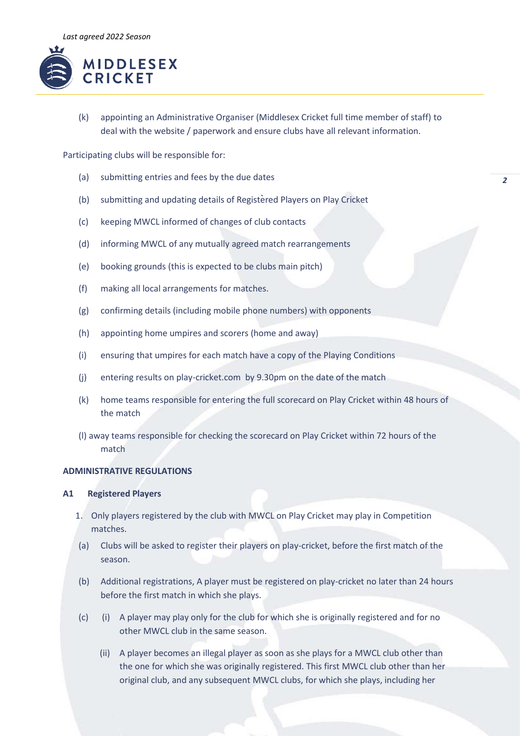

(k) appointing an Administrative Organiser (Middlesex Cricket full time member of staff) to deal with the website / paperwork and ensure clubs have all relevant information.

Participating clubs will be responsible for:

- (a) submitting entries and fees by the due dates
- (b) submitting and updating details of Registered Players on Play Cricket
- (c) keeping MWCL informed of changes of club contacts
- (d) informing MWCL of any mutually agreed match rearrangements
- (e) booking grounds (this is expected to be clubs main pitch)
- (f) making all local arrangements for matches.
- (g) confirming details (including mobile phone numbers) with opponents
- (h) appointing home umpires and scorers (home and away)
- (i) ensuring that umpires for each match have a copy of the Playing Conditions
- (j) entering results on play-cricket.com by 9.30pm on the date of the match
- (k) home teams responsible for entering the full scorecard on Play Cricket within 48 hours of the match
- (l) away teams responsible for checking the scorecard on Play Cricket within 72 hours of the match

# **ADMINISTRATIVE REGULATIONS**

# **A1 Registered Players**

- 1. Only players registered by the club with MWCL on Play Cricket may play in Competition matches.
- (a) Clubs will be asked to register their players on play-cricket, before the first match of the season.
- (b) Additional registrations, A player must be registered on play-cricket no later than 24 hours before the first match in which she plays.
- (c) (i) A player may play only for the club for which she is originally registered and for no other MWCL club in the same season.
	- (ii) A player becomes an illegal player as soon as she plays for a MWCL club other than the one for which she was originally registered. This first MWCL club other than her original club, and any subsequent MWCL clubs, for which she plays, including her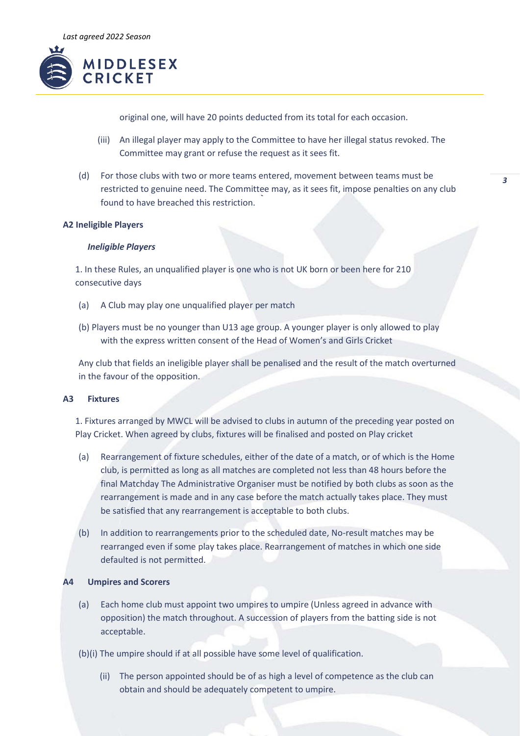

original one, will have 20 points deducted from its total for each occasion.

- (iii) An illegal player may apply to the Committee to have her illegal status revoked. The Committee may grant or refuse the request as it sees fit.
- (d) For those clubs with two or more teams entered, movement between teams must be restricted to genuine need. The Committee may, as it sees fit, impose penalties on any club found to have breached this restriction.

### **A2 Ineligible Players**

### *Ineligible Players*

1. In these Rules, an unqualified player is one who is not UK born or been here for 210 consecutive days

- (a) A Club may play one unqualified player per match
- (b) Players must be no younger than U13 age group. A younger player is only allowed to play with the express written consent of the Head of Women's and Girls Cricket

Any club that fields an ineligible player shall be penalised and the result of the match overturned in the favour of the opposition.

# **A3 Fixtures**

1. Fixtures arranged by MWCL will be advised to clubs in autumn of the preceding year posted on Play Cricket. When agreed by clubs, fixtures will be finalised and posted on Play cricket

- (a) Rearrangement of fixture schedules, either of the date of a match, or of which is the Home club, is permitted as long as all matches are completed not less than 48 hours before the final Matchday The Administrative Organiser must be notified by both clubs as soon as the rearrangement is made and in any case before the match actually takes place. They must be satisfied that any rearrangement is acceptable to both clubs.
- (b) In addition to rearrangements prior to the scheduled date, No-result matches may be rearranged even if some play takes place. Rearrangement of matches in which one side defaulted is not permitted.

## **A4 Umpires and Scorers**

- (a) Each home club must appoint two umpires to umpire (Unless agreed in advance with opposition) the match throughout. A succession of players from the batting side is not acceptable.
- (b)(i) The umpire should if at all possible have some level of qualification.
	- (ii) The person appointed should be of as high a level of competence as the club can obtain and should be adequately competent to umpire.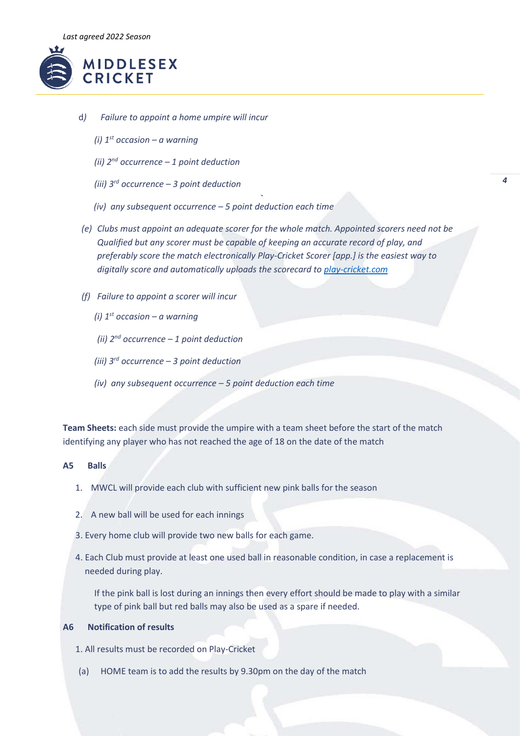

- d*) Failure to appoint a home umpire will incur* 
	- *(i) 1st occasion – a warning*
	- *(ii) 2nd occurrence – 1 point deduction*
	- *(iii) 3rd occurrence – 3 point deduction*
	- *(iv) any subsequent occurrence – 5 point deduction each time*
- *(e) Clubs must appoint an adequate scorer for the whole match. Appointed scorers need not be Qualified but any scorer must be capable of keeping an accurate record of play, and preferably score the match electronically Play-Cricket Scorer [app.] is the easiest way to digitally score and automatically uploads the scorecard to [play-cricket.com](http://www.play-cricket.com/)*
- *(f) Failure to appoint a scorer will incur* 
	- *(i)*  $1^{st}$  *occasion a warning*
	- *(ii) 2nd occurrence – 1 point deduction*
	- *(iii) 3rd occurrence – 3 point deduction*
	- *(iv) any subsequent occurrence – 5 point deduction each time*

**Team Sheets:** each side must provide the umpire with a team sheet before the start of the match identifying any player who has not reached the age of 18 on the date of the match

#### **A5 Balls**

- 1. MWCL will provide each club with sufficient new pink balls for the season
- 2. A new ball will be used for each innings
- 3. Every home club will provide two new balls for each game.
- 4. Each Club must provide at least one used ball in reasonable condition, in case a replacement is needed during play.

If the pink ball is lost during an innings then every effort should be made to play with a similar type of pink ball but red balls may also be used as a spare if needed.

# **A6 Notification of results**

1. All results must be recorded on Play-Cricket

(a) HOME team is to add the results by 9.30pm on the day of the match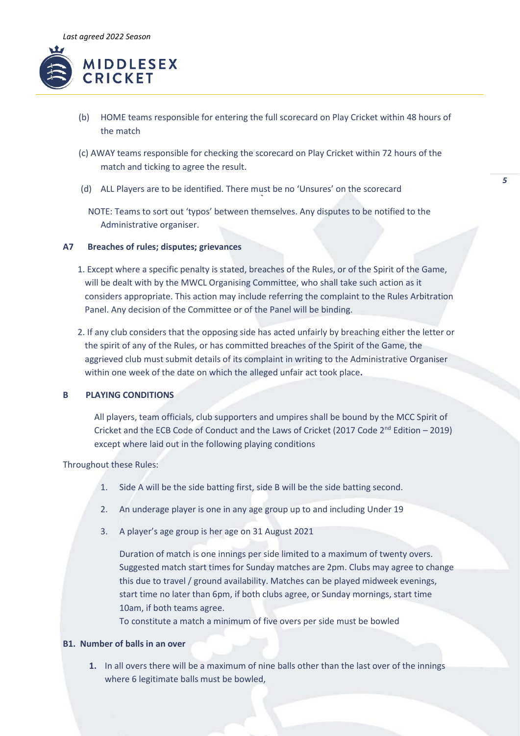

- (b) HOME teams responsible for entering the full scorecard on Play Cricket within 48 hours of the match
- (c) AWAY teams responsible for checking the scorecard on Play Cricket within 72 hours of the match and ticking to agree the result.
- (d) ALL Players are to be identified. There must be no 'Unsures' on the scorecard

NOTE: Teams to sort out 'typos' between themselves. Any disputes to be notified to the Administrative organiser.

### **A7 Breaches of rules; disputes; grievances**

- 1. Except where a specific penalty is stated, breaches of the Rules, or of the Spirit of the Game, will be dealt with by the MWCL Organising Committee, who shall take such action as it considers appropriate. This action may include referring the complaint to the Rules Arbitration Panel. Any decision of the Committee or of the Panel will be binding.
- 2. If any club considers that the opposing side has acted unfairly by breaching either the letter or the spirit of any of the Rules, or has committed breaches of the Spirit of the Game, the aggrieved club must submit details of its complaint in writing to the Administrative Organiser within one week of the date on which the alleged unfair act took place**.**

# **B PLAYING CONDITIONS**

All players, team officials, club supporters and umpires shall be bound by the MCC Spirit of Cricket and the ECB Code of Conduct and the Laws of Cricket (2017 Code  $2^{nd}$  Edition – 2019) except where laid out in the following playing conditions

Throughout these Rules:

- 1. Side A will be the side batting first, side B will be the side batting second.
- 2. An underage player is one in any age group up to and including Under 19
- 3. A player's age group is her age on 31 August 2021

Duration of match is one innings per side limited to a maximum of twenty overs. Suggested match start times for Sunday matches are 2pm. Clubs may agree to change this due to travel / ground availability. Matches can be played midweek evenings, start time no later than 6pm, if both clubs agree, or Sunday mornings, start time 10am, if both teams agree.

To constitute a match a minimum of five overs per side must be bowled

# **B1. Number of balls in an over**

**1.** In all overs there will be a maximum of nine balls other than the last over of the innings where 6 legitimate balls must be bowled,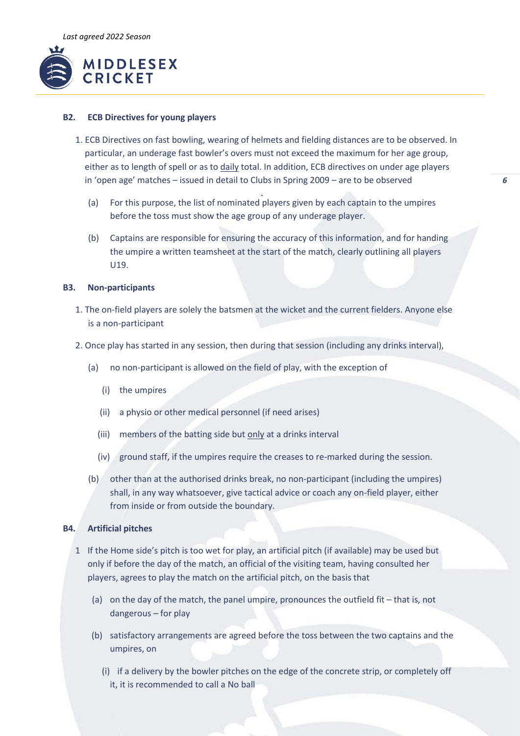

### **B2. ECB Directives for young players**

- 1. ECB Directives on fast bowling, wearing of helmets and fielding distances are to be observed. In particular, an underage fast bowler's overs must not exceed the maximum for her age group, either as to length of spell or as to daily total. In addition, ECB directives on under age players in 'open age' matches – issued in detail to Clubs in Spring 2009 – are to be observed
	- (a) For this purpose, the list of nominated players given by each captain to the umpires before the toss must show the age group of any underage player.
	- (b) Captains are responsible for ensuring the accuracy of this information, and for handing the umpire a written teamsheet at the start of the match, clearly outlining all players U19.

#### **B3. Non-participants**

- 1. The on-field players are solely the batsmen at the wicket and the current fielders. Anyone else is a non-participant
- 2. Once play has started in any session, then during that session (including any drinks interval),
	- (a) no non-participant is allowed on the field of play, with the exception of
		- (i) the umpires
		- (ii) a physio or other medical personnel (if need arises)
		- (iii) members of the batting side but only at a drinks interval
		- (iv) ground staff, if the umpires require the creases to re-marked during the session.
	- (b) other than at the authorised drinks break, no non-participant (including the umpires) shall, in any way whatsoever, give tactical advice or coach any on-field player, either from inside or from outside the boundary.

#### **B4. Artificial pitches**

- 1 If the Home side's pitch is too wet for play, an artificial pitch (if available) may be used but only if before the day of the match, an official of the visiting team, having consulted her players, agrees to play the match on the artificial pitch, on the basis that
	- (a) on the day of the match, the panel umpire, pronounces the outfield fit that is, not dangerous – for play
	- (b) satisfactory arrangements are agreed before the toss between the two captains and the umpires, on
		- (i) if a delivery by the bowler pitches on the edge of the concrete strip, or completely off it, it is recommended to call a No ball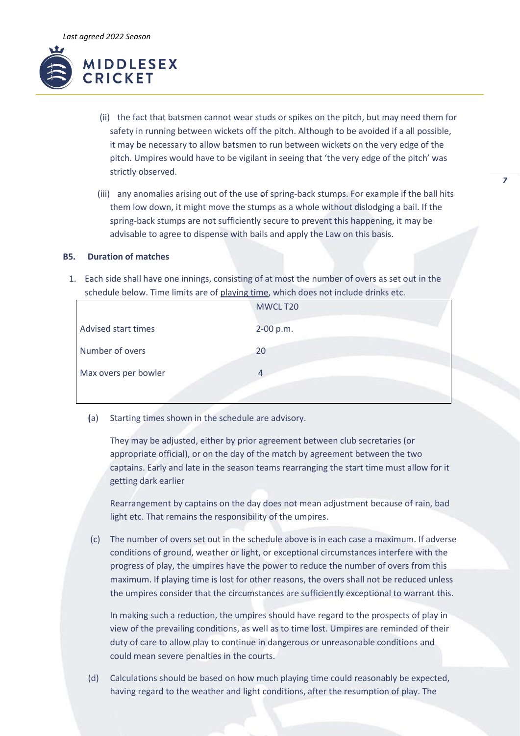

- (ii) the fact that batsmen cannot wear studs or spikes on the pitch, but may need them for safety in running between wickets off the pitch. Although to be avoided if a all possible, it may be necessary to allow batsmen to run between wickets on the very edge of the pitch. Umpires would have to be vigilant in seeing that 'the very edge of the pitch' was strictly observed.
- (iii) any anomalies arising out of the use of spring-back stumps. For example if the ball hits them low down, it might move the stumps as a whole without dislodging a bail. If the spring-back stumps are not sufficiently secure to prevent this happening, it may be advisable to agree to dispense with bails and apply the Law on this basis.

# **B5. Duration of matches**

1. Each side shall have one innings, consisting of at most the number of overs as set out in the schedule below. Time limits are of playing time, which does not include drinks etc.

|                      | MWCL T20  |
|----------------------|-----------|
| Advised start times  | 2-00 p.m. |
| Number of overs      | 20        |
| Max overs per bowler |           |
|                      |           |

**(**a) Starting times shown in the schedule are advisory.

They may be adjusted, either by prior agreement between club secretaries (or appropriate official), or on the day of the match by agreement between the two captains. Early and late in the season teams rearranging the start time must allow for it getting dark earlier

Rearrangement by captains on the day does not mean adjustment because of rain, bad light etc. That remains the responsibility of the umpires.

(c) The number of overs set out in the schedule above is in each case a maximum. If adverse conditions of ground, weather or light, or exceptional circumstances interfere with the progress of play, the umpires have the power to reduce the number of overs from this maximum. If playing time is lost for other reasons, the overs shall not be reduced unless the umpires consider that the circumstances are sufficiently exceptional to warrant this.

In making such a reduction, the umpires should have regard to the prospects of play in view of the prevailing conditions, as well as to time lost. Umpires are reminded of their duty of care to allow play to continue in dangerous or unreasonable conditions and could mean severe penalties in the courts.

(d) Calculations should be based on how much playing time could reasonably be expected, having regard to the weather and light conditions, after the resumption of play. The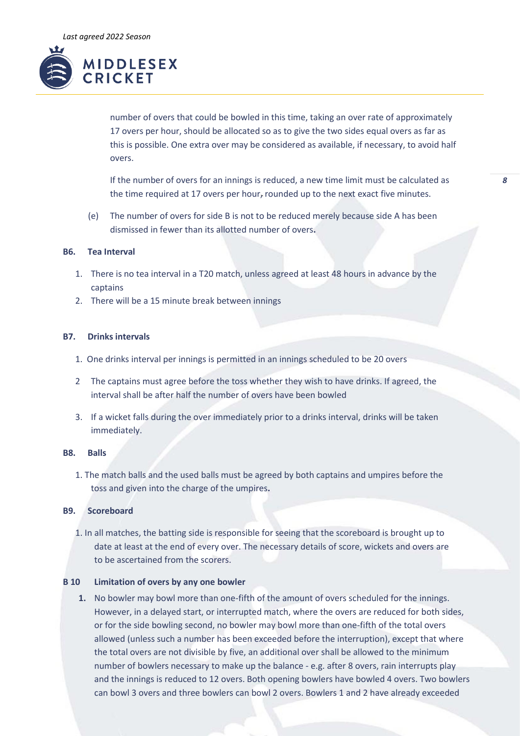

number of overs that could be bowled in this time, taking an over rate of approximately 17 overs per hour, should be allocated so as to give the two sides equal overs as far as this is possible. One extra over may be considered as available, if necessary, to avoid half overs.

If the number of overs for an innings is reduced, a new time limit must be calculated as the time required at 17 overs per hour, rounded up to the next exact five minutes.

(e) The number of overs for side B is not to be reduced merely because side A has been dismissed in fewer than its allotted number of overs**.**

#### **B6. Tea Interval**

- 1. There is no tea interval in a T20 match, unless agreed at least 48 hours in advance by the captains
- 2. There will be a 15 minute break between innings

#### **B7. Drinks intervals**

- 1. One drinks interval per innings is permitted in an innings scheduled to be 20 overs
- 2 The captains must agree before the toss whether they wish to have drinks. If agreed, the interval shall be after half the number of overs have been bowled
- 3. If a wicket falls during the over immediately prior to a drinks interval, drinks will be taken immediately.

# **B8. Balls**

1. The match balls and the used balls must be agreed by both captains and umpires before the toss and given into the charge of the umpires**.**

# **B9. Scoreboard**

1. In all matches, the batting side is responsible for seeing that the scoreboard is brought up to date at least at the end of every over. The necessary details of score, wickets and overs are to be ascertained from the scorers.

## **B 10 Limitation of overs by any one bowler**

**1.** No bowler may bowl more than one-fifth of the amount of overs scheduled for the innings. However, in a delayed start, or interrupted match, where the overs are reduced for both sides, or for the side bowling second, no bowler may bowl more than one-fifth of the total overs allowed (unless such a number has been exceeded before the interruption), except that where the total overs are not divisible by five, an additional over shall be allowed to the minimum number of bowlers necessary to make up the balance - e.g. after 8 overs, rain interrupts play and the innings is reduced to 12 overs. Both opening bowlers have bowled 4 overs. Two bowlers can bowl 3 overs and three bowlers can bowl 2 overs. Bowlers 1 and 2 have already exceeded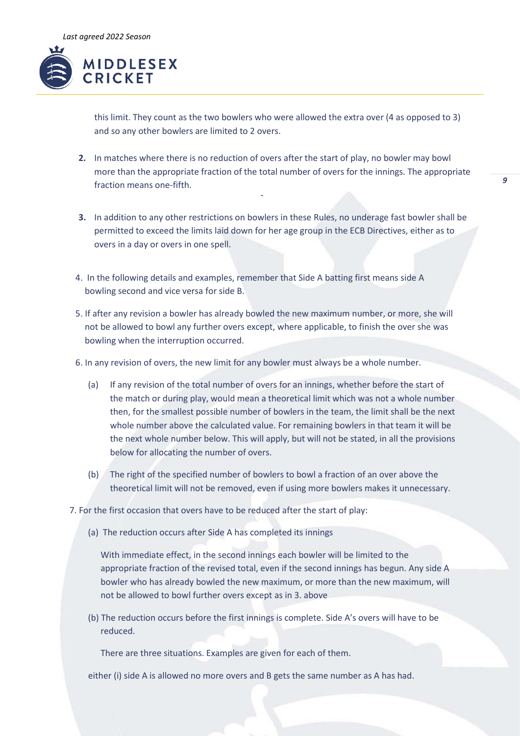

this limit. They count as the two bowlers who were allowed the extra over (4 as opposed to 3) and so any other bowlers are limited to 2 overs.

- **2.** In matches where there is no reduction of overs after the start of play, no bowler may bowl more than the appropriate fraction of the total number of overs for the innings. The appropriate fraction means one-fifth.
- **3.** In addition to any other restrictions on bowlers in these Rules, no underage fast bowler shall be permitted to exceed the limits laid down for her age group in the ECB Directives, either as to overs in a day or overs in one spell.
- 4. In the following details and examples, remember that Side A batting first means side A bowling second and vice versa for side B.
- 5. If after any revision a bowler has already bowled the new maximum number, or more, she will not be allowed to bowl any further overs except, where applicable, to finish the over she was bowling when the interruption occurred.
- 6. In any revision of overs, the new limit for any bowler must always be a whole number.
	- (a) If any revision of the total number of overs for an innings, whether before the start of the match or during play, would mean a theoretical limit which was not a whole number then, for the smallest possible number of bowlers in the team, the limit shall be the next whole number above the calculated value. For remaining bowlers in that team it will be the next whole number below. This will apply, but will not be stated, in all the provisions below for allocating the number of overs.
	- (b) The right of the specified number of bowlers to bowl a fraction of an over above the theoretical limit will not be removed, even if using more bowlers makes it unnecessary.
- 7. For the first occasion that overs have to be reduced after the start of play:
	- (a) The reduction occurs after Side A has completed its innings

With immediate effect, in the second innings each bowler will be limited to the appropriate fraction of the revised total, even if the second innings has begun. Any side A bowler who has already bowled the new maximum, or more than the new maximum, will not be allowed to bowl further overs except as in 3. above

(b) The reduction occurs before the first innings is complete. Side A's overs will have to be reduced.

There are three situations. Examples are given for each of them.

either (i) side A is allowed no more overs and B gets the same number as A has had.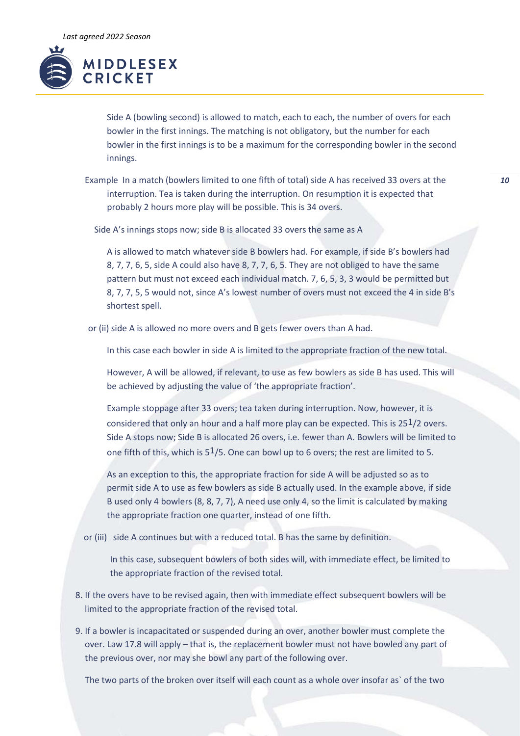

Side A (bowling second) is allowed to match, each to each, the number of overs for each bowler in the first innings. The matching is not obligatory, but the number for each bowler in the first innings is to be a maximum for the corresponding bowler in the second innings.

Example In a match (bowlers limited to one fifth of total) side A has received 33 overs at the interruption. Tea is taken during the interruption. On resumption it is expected that probably 2 hours more play will be possible. This is 34 overs.

Side A's innings stops now; side B is allocated 33 overs the same as A

A is allowed to match whatever side B bowlers had. For example, if side B's bowlers had 8, 7, 7, 6, 5, side A could also have 8, 7, 7, 6, 5. They are not obliged to have the same pattern but must not exceed each individual match. 7, 6, 5, 3, 3 would be permitted but 8, 7, 7, 5, 5 would not, since A's lowest number of overs must not exceed the 4 in side B's shortest spell.

or (ii) side A is allowed no more overs and B gets fewer overs than A had.

In this case each bowler in side A is limited to the appropriate fraction of the new total.

However, A will be allowed, if relevant, to use as few bowlers as side B has used. This will be achieved by adjusting the value of 'the appropriate fraction'.

Example stoppage after 33 overs; tea taken during interruption. Now, however, it is considered that only an hour and a half more play can be expected. This is 251/2 overs. Side A stops now; Side B is allocated 26 overs, i.e. fewer than A. Bowlers will be limited to one fifth of this, which is  $5<sup>1</sup>/5$ . One can bowl up to 6 overs; the rest are limited to 5.

As an exception to this, the appropriate fraction for side A will be adjusted so as to permit side A to use as few bowlers as side B actually used. In the example above, if side B used only 4 bowlers (8, 8, 7, 7), A need use only 4, so the limit is calculated by making the appropriate fraction one quarter, instead of one fifth.

or (iii) side A continues but with a reduced total. B has the same by definition.

In this case, subsequent bowlers of both sides will, with immediate effect, be limited to the appropriate fraction of the revised total.

- 8. If the overs have to be revised again, then with immediate effect subsequent bowlers will be limited to the appropriate fraction of the revised total.
- 9. If a bowler is incapacitated or suspended during an over, another bowler must complete the over. Law 17.8 will apply – that is, the replacement bowler must not have bowled any part of the previous over, nor may she bowl any part of the following over.

The two parts of the broken over itself will each count as a whole over insofar as` of the two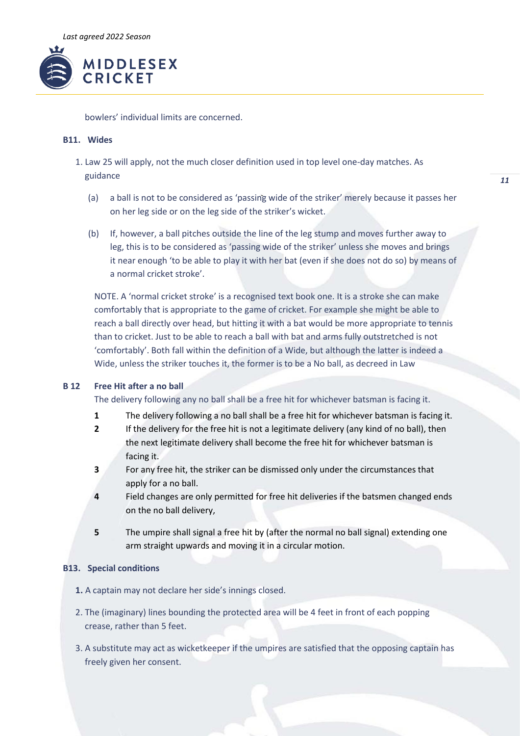

bowlers' individual limits are concerned.

# **B11. Wides**

- 1. Law 25 will apply, not the much closer definition used in top level one-day matches. As guidance
	- (a) a ball is not to be considered as 'passing wide of the striker' merely because it passes her on her leg side or on the leg side of the striker's wicket.
	- (b) If, however, a ball pitches outside the line of the leg stump and moves further away to leg, this is to be considered as 'passing wide of the striker' unless she moves and brings it near enough 'to be able to play it with her bat (even if she does not do so) by means of a normal cricket stroke'.

NOTE. A 'normal cricket stroke' is a recognised text book one. It is a stroke she can make comfortably that is appropriate to the game of cricket. For example she might be able to reach a ball directly over head, but hitting it with a bat would be more appropriate to tennis than to cricket. Just to be able to reach a ball with bat and arms fully outstretched is not 'comfortably'. Both fall within the definition of a Wide, but although the latter is indeed a Wide, unless the striker touches it, the former is to be a No ball, as decreed in Law

# **B 12 Free Hit after a no ball**

The delivery following any no ball shall be a free hit for whichever batsman is facing it.

- **1** The delivery following a no ball shall be a free hit for whichever batsman is facing it.
- **2** If the delivery for the free hit is not a legitimate delivery (any kind of no ball), then the next legitimate delivery shall become the free hit for whichever batsman is facing it.
- **3** For any free hit, the striker can be dismissed only under the circumstances that apply for a no ball.
- **4** Field changes are only permitted for free hit deliveries if the batsmen changed ends on the no ball delivery,
- **5** The umpire shall signal a free hit by (after the normal no ball signal) extending one arm straight upwards and moving it in a circular motion.

# **B13. Special conditions**

- **1.** A captain may not declare her side's innings closed.
- 2. The (imaginary) lines bounding the protected area will be 4 feet in front of each popping crease, rather than 5 feet.
- 3. A substitute may act as wicketkeeper if the umpires are satisfied that the opposing captain has freely given her consent.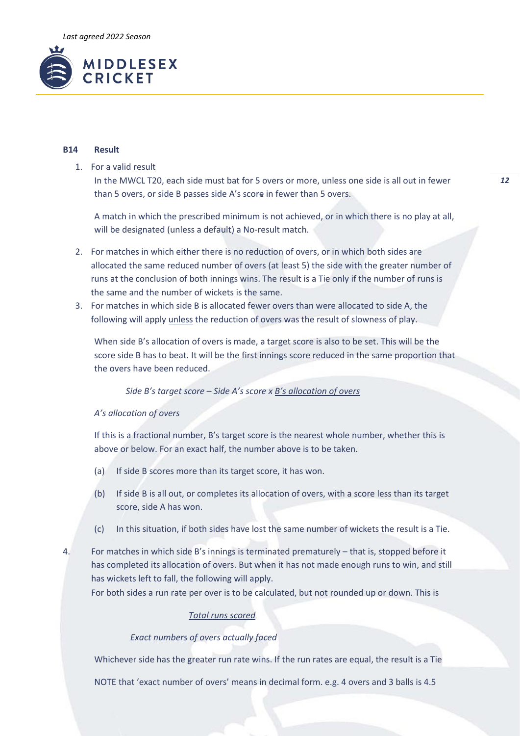

#### **B14 Result**

1. For a valid result

In the MWCL T20, each side must bat for 5 overs or more, unless one side is all out in fewer than 5 overs, or side B passes side A's score in fewer than 5 overs.

A match in which the prescribed minimum is not achieved, or in which there is no play at all, will be designated (unless a default) a No-result match.

- 2. For matches in which either there is no reduction of overs, or in which both sides are allocated the same reduced number of overs (at least 5) the side with the greater number of runs at the conclusion of both innings wins. The result is a Tie only if the number of runs is the same and the number of wickets is the same.
- 3. For matches in which side B is allocated fewer overs than were allocated to side A, the following will apply unless the reduction of overs was the result of slowness of play.

When side B's allocation of overs is made, a target score is also to be set. This will be the score side B has to beat. It will be the first innings score reduced in the same proportion that the overs have been reduced.

### *Side B's target score – Side A's score x B's allocation of overs*

#### *A's allocation of overs*

If this is a fractional number, B's target score is the nearest whole number, whether this is above or below. For an exact half, the number above is to be taken.

- (a) If side B scores more than its target score, it has won.
- (b) If side B is all out, or completes its allocation of overs, with a score less than its target score, side A has won.
- (c) In this situation, if both sides have lost the same number of wickets the result is a Tie.
- 4. For matches in which side B's innings is terminated prematurely that is, stopped before it has completed its allocation of overs. But when it has not made enough runs to win, and still has wickets left to fall, the following will apply.

For both sides a run rate per over is to be calculated, but not rounded up or down. This is

# *Total runs scored*

## *Exact numbers of overs actually faced*

Whichever side has the greater run rate wins. If the run rates are equal, the result is a Tie

NOTE that 'exact number of overs' means in decimal form. e.g. 4 overs and 3 balls is 4.5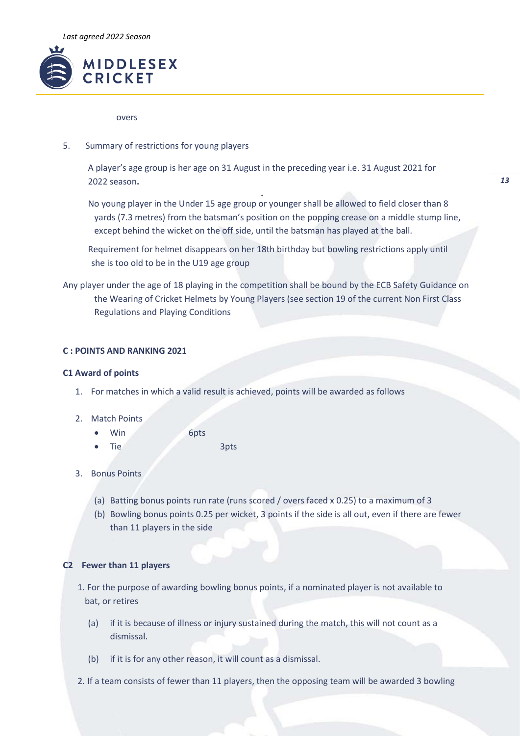

#### overs

5. Summary of restrictions for young players

A player's age group is her age on 31 August in the preceding year i.e. 31 August 2021 for 2022 season**.**

No young player in the Under 15 age group or younger shall be allowed to field closer than 8 yards (7.3 metres) from the batsman's position on the popping crease on a middle stump line, except behind the wicket on the off side, until the batsman has played at the ball.

Requirement for helmet disappears on her 18th birthday but bowling restrictions apply until she is too old to be in the U19 age group

Any player under the age of 18 playing in the competition shall be bound by the ECB Safety Guidance on the Wearing of Cricket Helmets by Young Players (see section 19 of the current Non First Class Regulations and Playing Conditions

# **C : POINTS AND RANKING 2021**

## **C1 Award of points**

- 1. For matches in which a valid result is achieved, points will be awarded as follows
- 2. Match Points
	- Win 6pts
		- Tie 3pts
- 3. Bonus Points
	- (a) Batting bonus points run rate (runs scored / overs faced x 0.25) to a maximum of 3
	- (b) Bowling bonus points 0.25 per wicket, 3 points if the side is all out, even if there are fewer than 11 players in the side

# **C2 Fewer than 11 players**

- 1. For the purpose of awarding bowling bonus points, if a nominated player is not available to bat, or retires
	- (a) if it is because of illness or injury sustained during the match, this will not count as a dismissal.
	- (b) if it is for any other reason, it will count as a dismissal.
- 2. If a team consists of fewer than 11 players, then the opposing team will be awarded 3 bowling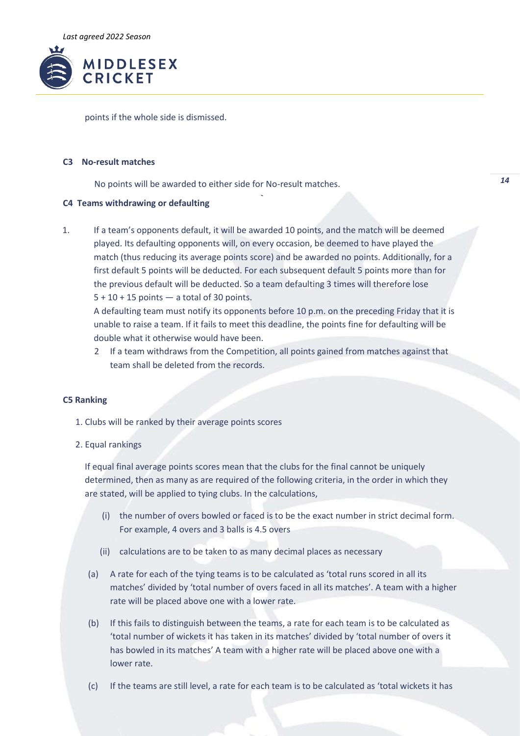

points if the whole side is dismissed.

# **C3 No-result matches**

No points will be awarded to either side for No-result matches.

# **C4 Teams withdrawing or defaulting**

1. If a team's opponents default, it will be awarded 10 points, and the match will be deemed played. Its defaulting opponents will, on every occasion, be deemed to have played the match (thus reducing its average points score) and be awarded no points. Additionally, for a first default 5 points will be deducted. For each subsequent default 5 points more than for the previous default will be deducted. So a team defaulting 3 times will therefore lose  $5 + 10 + 15$  points  $-$  a total of 30 points.

A defaulting team must notify its opponents before 10 p.m. on the preceding Friday that it is unable to raise a team. If it fails to meet this deadline, the points fine for defaulting will be double what it otherwise would have been.

2 If a team withdraws from the Competition, all points gained from matches against that team shall be deleted from the records.

### **C5 Ranking**

- 1. Clubs will be ranked by their average points scores
- 2. Equal rankings

If equal final average points scores mean that the clubs for the final cannot be uniquely determined, then as many as are required of the following criteria, in the order in which they are stated, will be applied to tying clubs. In the calculations,

- (i) the number of overs bowled or faced is to be the exact number in strict decimal form. For example, 4 overs and 3 balls is 4.5 overs
- (ii) calculations are to be taken to as many decimal places as necessary
- (a) A rate for each of the tying teams is to be calculated as 'total runs scored in all its matches' divided by 'total number of overs faced in all its matches'. A team with a higher rate will be placed above one with a lower rate.
- (b) If this fails to distinguish between the teams, a rate for each team is to be calculated as 'total number of wickets it has taken in its matches' divided by 'total number of overs it has bowled in its matches' A team with a higher rate will be placed above one with a lower rate.
- (c) If the teams are still level, a rate for each team is to be calculated as 'total wickets it has